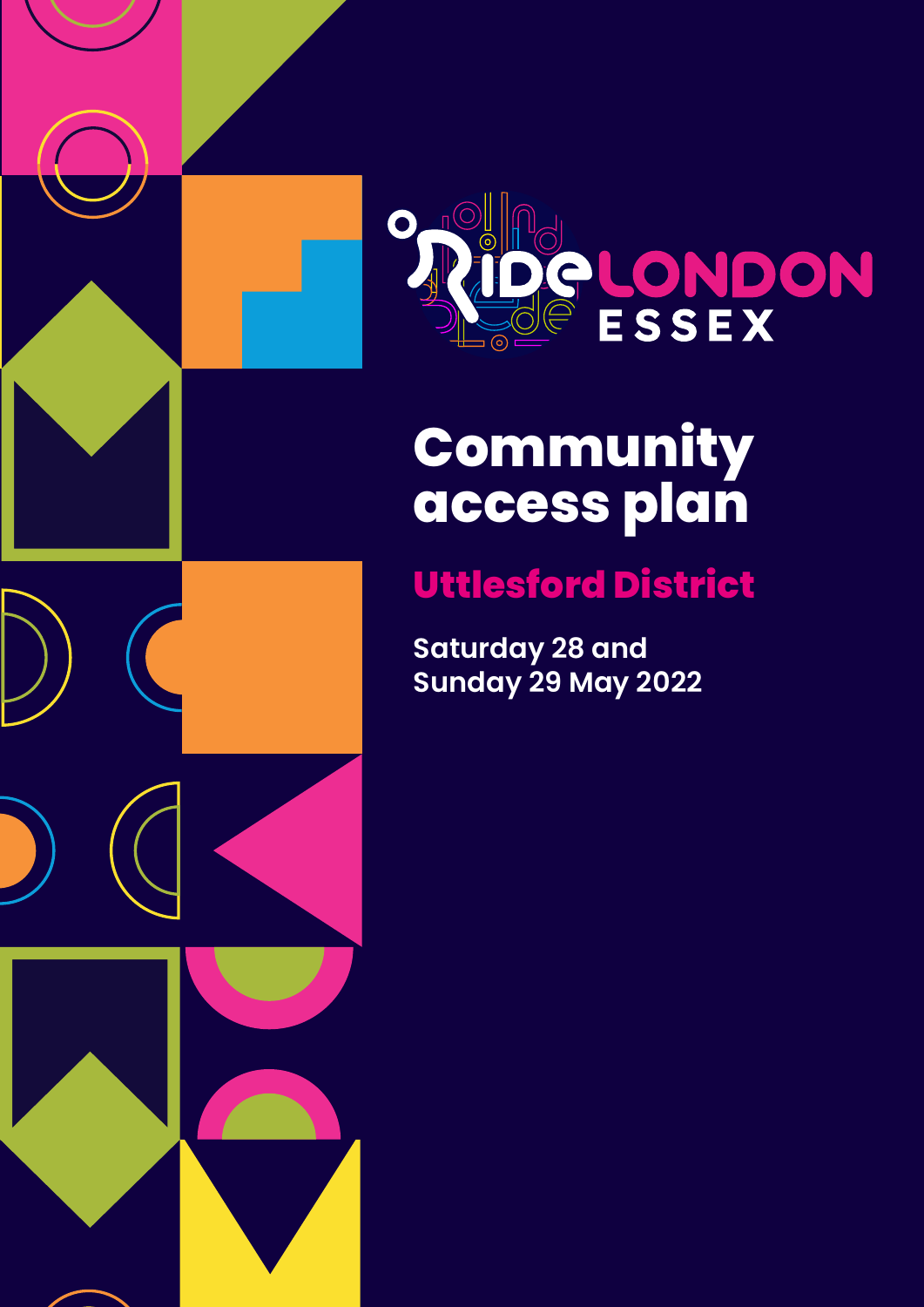

# **Community access plan**

# **Uttlesford District**

**Saturday 28 and Sunday 29 May 2022**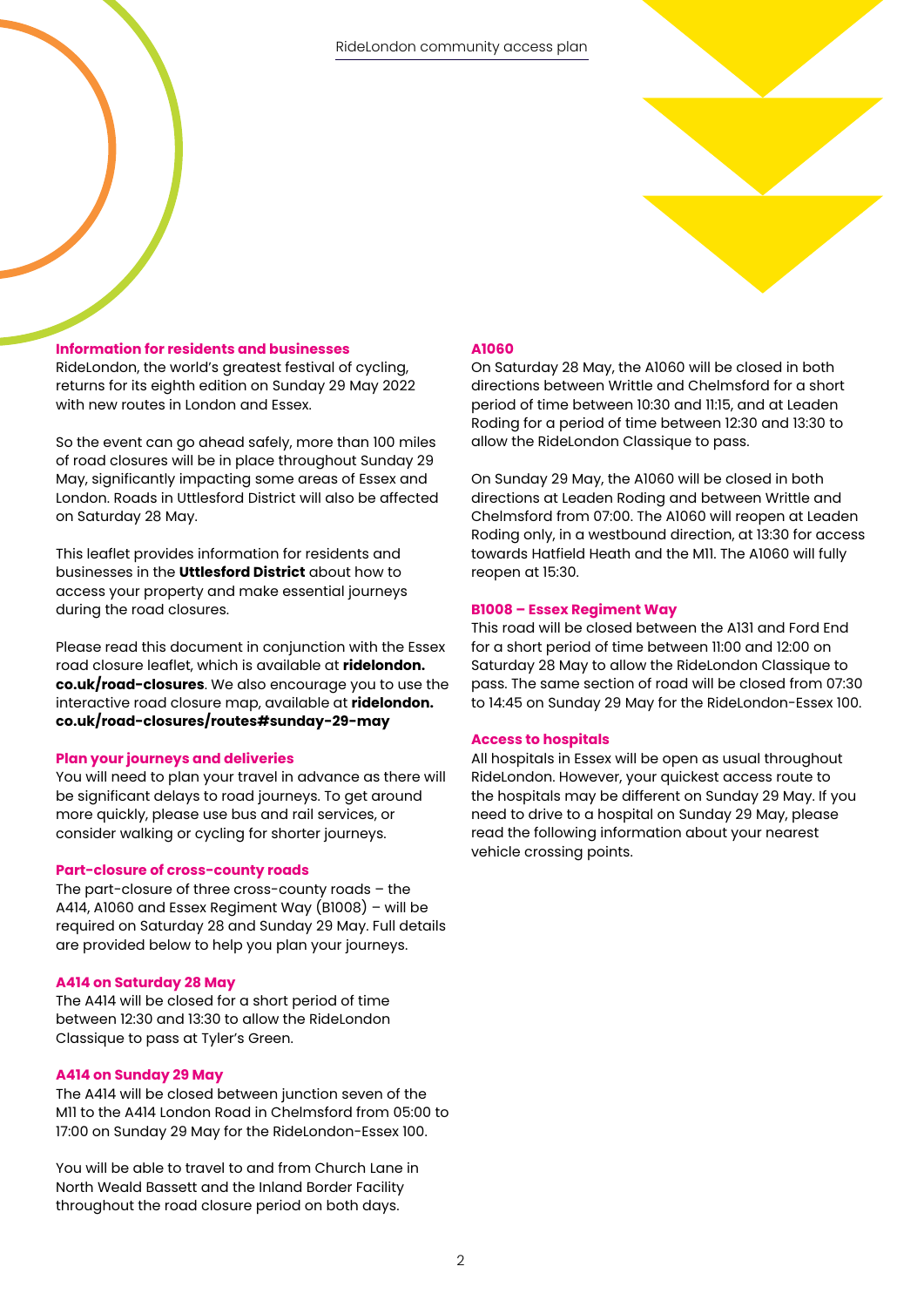

# **Information for residents and businesses**

RideLondon, the world's greatest festival of cycling, returns for its eighth edition on Sunday 29 May 2022 with new routes in London and Essex.

So the event can go ahead safely, more than 100 miles of road closures will be in place throughout Sunday 29 May, significantly impacting some areas of Essex and London. Roads in Uttlesford District will also be affected on Saturday 28 May.

This leaflet provides information for residents and businesses in the **Uttlesford District** about how to access your property and make essential journeys during the road closures.

Please read this document in conjunction with the Essex road closure leaflet, which is available at **[ridelondon.](https://www.ridelondon.co.uk/road-closures/routes-and-road-closures) [co.uk/road-closures](https://www.ridelondon.co.uk/road-closures/routes-and-road-closures)**. We also encourage you to use the interactive road closure map, available at **[ridelondon.](https://www.ridelondon.co.uk/road-closures/routes#sunday-29-may) [co.uk/road-closures/routes#sunday-29-may](https://www.ridelondon.co.uk/road-closures/routes#sunday-29-may)**

### **Plan your journeys and deliveries**

You will need to plan your travel in advance as there will be significant delays to road journeys. To get around more quickly, please use bus and rail services, or consider walking or cycling for shorter journeys.

#### **Part-closure of cross-county roads**

The part-closure of three cross-county roads – the A414, A1060 and Essex Regiment Way (B1008) – will be required on Saturday 28 and Sunday 29 May. Full details are provided below to help you plan your journeys.

#### **A414 on Saturday 28 May**

The A414 will be closed for a short period of time between 12:30 and 13:30 to allow the RideLondon Classique to pass at Tyler's Green.

#### **A414 on Sunday 29 May**

The A414 will be closed between junction seven of the M11 to the A414 London Road in Chelmsford from 05:00 to 17:00 on Sunday 29 May for the RideLondon-Essex 100.

You will be able to travel to and from Church Lane in North Weald Bassett and the Inland Border Facility throughout the road closure period on both days.

# **A1060**

On Saturday 28 May, the A1060 will be closed in both directions between Writtle and Chelmsford for a short period of time between 10:30 and 11:15, and at Leaden Roding for a period of time between 12:30 and 13:30 to allow the RideLondon Classique to pass.

On Sunday 29 May, the A1060 will be closed in both directions at Leaden Roding and between Writtle and Chelmsford from 07:00. The A1060 will reopen at Leaden Roding only, in a westbound direction, at 13:30 for access towards Hatfield Heath and the M11. The A1060 will fully reopen at 15:30.

#### **B1008 – Essex Regiment Way**

This road will be closed between the A131 and Ford End for a short period of time between 11:00 and 12:00 on Saturday 28 May to allow the RideLondon Classique to pass. The same section of road will be closed from 07:30 to 14:45 on Sunday 29 May for the RideLondon-Essex 100.

#### **Access to hospitals**

All hospitals in Essex will be open as usual throughout RideLondon. However, your quickest access route to the hospitals may be different on Sunday 29 May. If you need to drive to a hospital on Sunday 29 May, please read the following information about your nearest vehicle crossing points.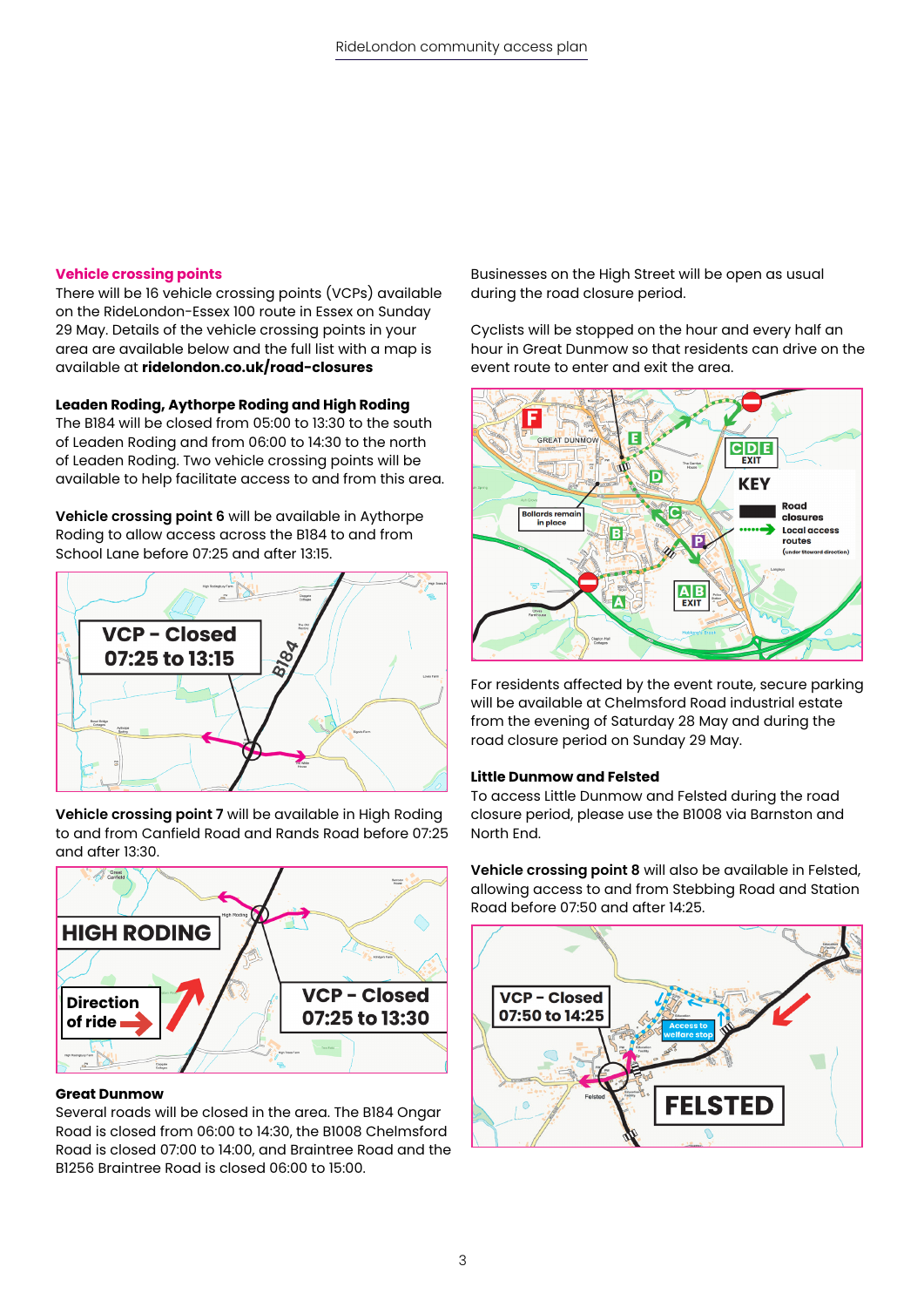# **Vehicle crossing points**

There will be 16 vehicle crossing points (VCPs) available on the RideLondon-Essex 100 route in Essex on Sunday 29 May. Details of the vehicle crossing points in your area are available below and the full list with a map is available at **[ridelondon.co.uk/road-closures](http://ridelondon.co.uk/road-closures)**

# **Leaden Roding, Aythorpe Roding and High Roding**

The B184 will be closed from 05:00 to 13:30 to the south of Leaden Roding and from 06:00 to 14:30 to the north of Leaden Roding. Two vehicle crossing points will be available to help facilitate access to and from this area.

**Vehicle crossing point 6** will be available in Aythorpe Roding to allow access across the B184 to and from School Lane before 07:25 and after 13:15.



**Vehicle crossing point 7** will be available in High Roding to and from Canfield Road and Rands Road before 07:25 and after 13:30.



# **Great Dunmow**

Several roads will be closed in the area. The B184 Ongar Road is closed from 06:00 to 14:30, the B1008 Chelmsford Road is closed 07:00 to 14:00, and Braintree Road and the B1256 Braintree Road is closed 06:00 to 15:00.

Businesses on the High Street will be open as usual during the road closure period.

Cyclists will be stopped on the hour and every half an hour in Great Dunmow so that residents can drive on the event route to enter and exit the area.



For residents affected by the event route, secure parking will be available at Chelmsford Road industrial estate from the evening of Saturday 28 May and during the road closure period on Sunday 29 May.

### **Little Dunmow and Felsted**

To access Little Dunmow and Felsted during the road closure period, please use the B1008 via Barnston and North End.

**Vehicle crossing point 8** will also be available in Felsted, allowing access to and from Stebbing Road and Station Road before 07:50 and after 14:25.